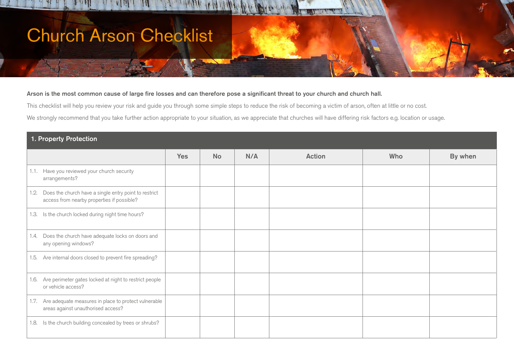## Church Arson Checklist

## Arson is the most common cause of large fire losses and can therefore pose a significant threat to your church and church hall.

This checklist will help you review your risk and guide you through some simple steps to reduce the risk of becoming a victim of arson, often at little or no cost.

We strongly recommend that you take further action appropriate to your situation, as we appreciate that churches will have differing risk factors e.g. location or usage.

| 1. Property Protection                                                                                      |            |           |     |               |     |         |  |
|-------------------------------------------------------------------------------------------------------------|------------|-----------|-----|---------------|-----|---------|--|
|                                                                                                             | <b>Yes</b> | <b>No</b> | N/A | <b>Action</b> | Who | By when |  |
| 1.1. Have you reviewed your church security<br>arrangements?                                                |            |           |     |               |     |         |  |
| Does the church have a single entry point to restrict<br>1.2.<br>access from nearby properties if possible? |            |           |     |               |     |         |  |
| 1.3. Is the church locked during night time hours?                                                          |            |           |     |               |     |         |  |
| Does the church have adequate locks on doors and<br>1.4.<br>any opening windows?                            |            |           |     |               |     |         |  |
| Are internal doors closed to prevent fire spreading?<br>1.5.                                                |            |           |     |               |     |         |  |
| Are perimeter gates locked at night to restrict people<br>1.6.<br>or vehicle access?                        |            |           |     |               |     |         |  |
| Are adequate measures in place to protect vulnerable<br>1.7.<br>areas against unauthorised access?          |            |           |     |               |     |         |  |
| Is the church building concealed by trees or shrubs?<br>1.8.                                                |            |           |     |               |     |         |  |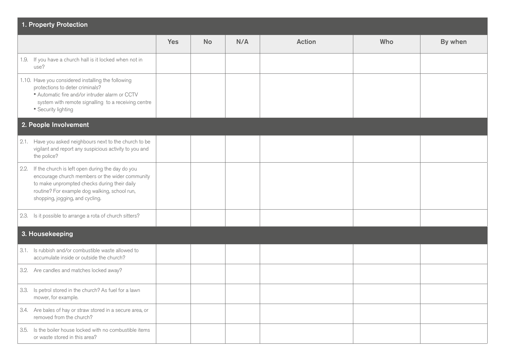| 1. Property Protection                                                                                                                                                                                                                          |            |           |     |               |     |         |  |
|-------------------------------------------------------------------------------------------------------------------------------------------------------------------------------------------------------------------------------------------------|------------|-----------|-----|---------------|-----|---------|--|
|                                                                                                                                                                                                                                                 | <b>Yes</b> | <b>No</b> | N/A | <b>Action</b> | Who | By when |  |
| 1.9. If you have a church hall is it locked when not in<br>use?                                                                                                                                                                                 |            |           |     |               |     |         |  |
| 1.10. Have you considered installing the following<br>protections to deter criminals?<br>" Automatic fire and/or intruder alarm or CCTV<br>system with remote signalling to a receiving centre<br>• Security lighting                           |            |           |     |               |     |         |  |
| 2. People Involvement                                                                                                                                                                                                                           |            |           |     |               |     |         |  |
| 2.1. Have you asked neighbours next to the church to be<br>vigilant and report any suspicious activity to you and<br>the police?                                                                                                                |            |           |     |               |     |         |  |
| If the church is left open during the day do you<br>2.2.<br>encourage church members or the wider community<br>to make unprompted checks during their daily<br>routine? For example dog walking, school run,<br>shopping, jogging, and cycling. |            |           |     |               |     |         |  |
| 2.3. Is it possible to arrange a rota of church sitters?                                                                                                                                                                                        |            |           |     |               |     |         |  |
| 3. Housekeeping                                                                                                                                                                                                                                 |            |           |     |               |     |         |  |
| 3.1. Is rubbish and/or combustible waste allowed to<br>accumulate inside or outside the church?                                                                                                                                                 |            |           |     |               |     |         |  |
| 3.2. Are candles and matches locked away?                                                                                                                                                                                                       |            |           |     |               |     |         |  |
| 3.3. Is petrol stored in the church? As fuel for a lawn<br>mower, for example.                                                                                                                                                                  |            |           |     |               |     |         |  |
| 3.4. Are bales of hay or straw stored in a secure area, or<br>removed from the church?                                                                                                                                                          |            |           |     |               |     |         |  |
| 3.5. Is the boiler house locked with no combustible items<br>or waste stored in this area?                                                                                                                                                      |            |           |     |               |     |         |  |